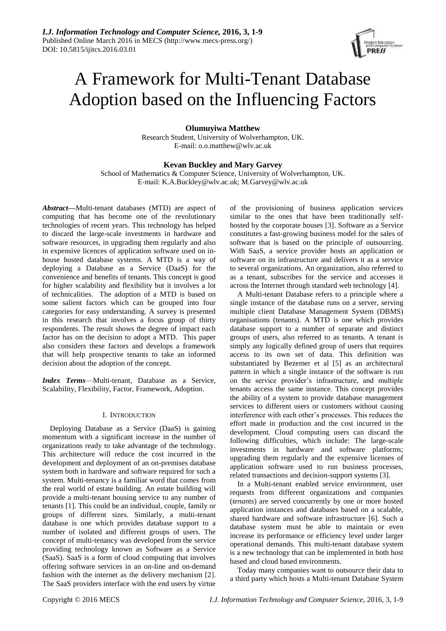

# A Framework for Multi-Tenant Database Adoption based on the Influencing Factors

**Olumuyiwa Matthew**

Research Student, University of Wolverhampton, UK. E-mail: o.o.matthew@wlv.ac.uk

# **Kevan Buckley and Mary Garvey**

School of Mathematics & Computer Science, University of Wolverhampton, UK. E-mail: K.A.Buckley@wlv.ac.uk; M.Garvey@wlv.ac.uk

*Abstract***—**Multi-tenant databases (MTD) are aspect of computing that has become one of the revolutionary technologies of recent years. This technology has helped to discard the large-scale investments in hardware and software resources, in upgrading them regularly and also in expensive licences of application software used on inhouse hosted database systems. A MTD is a way of deploying a Database as a Service (DaaS) for the convenience and benefits of tenants. This concept is good for higher scalability and flexibility but it involves a lot of technicalities. The adoption of a MTD is based on some salient factors which can be grouped into four categories for easy understanding. A survey is presented in this research that involves a focus group of thirty respondents. The result shows the degree of impact each factor has on the decision to adopt a MTD. This paper also considers these factors and develops a framework that will help prospective tenants to take an informed decision about the adoption of the concept.

*Index Terms*—Multi-tenant, Database as a Service, Scalability, Flexibility, Factor, Framework, Adoption.

# I. INTRODUCTION

Deploying Database as a Service (DaaS) is gaining momentum with a significant increase in the number of organizations ready to take advantage of the technology. This architecture will reduce the cost incurred in the development and deployment of an on-premises database system both in hardware and software required for such a system. Multi-tenancy is a familiar word that comes from the real world of estate building. An estate building will provide a multi-tenant housing service to any number of tenants [1]. This could be an individual, couple, family or groups of different sizes. Similarly, a multi-tenant database is one which provides database support to a number of isolated and different groups of users. The concept of multi-tenancy was developed from the service providing technology known as Software as a Service (SaaS). SaaS is a form of cloud computing that involves offering software services in an on-line and on-demand fashion with the internet as the delivery mechanism [2]. The SaaS providers interface with the end users by virtue of the provisioning of business application services similar to the ones that have been traditionally selfhosted by the corporate houses [3]. Software as a Service constitutes a fast-growing business model for the sales of software that is based on the principle of outsourcing. With SaaS, a service provider hosts an application or software on its infrastructure and delivers it as a service to several organizations. An organization, also referred to as a tenant, subscribes for the service and accesses it across the Internet through standard web technology [4].

A Multi-tenant Database refers to a principle where a single instance of the database runs on a server, serving multiple client Database Management System (DBMS) organisations (tenants). A MTD is one which provides database support to a number of separate and distinct groups of users, also referred to as tenants. A tenant is simply any logically defined group of users that requires access to its own set of data. This definition was substantiated by Bezemer et al [5] as an architectural pattern in which a single instance of the software is run on the service provider's infrastructure, and multiple tenants access the same instance. This concept provides the ability of a system to provide database management services to different users or customers without causing interference with each other's processes. This reduces the effort made in production and the cost incurred in the development. Cloud computing users can discard the following difficulties, which include: The large-scale investments in hardware and software platforms; upgrading them regularly and the expensive licenses of application software used to run business processes, related transactions and decision-support systems [3].

In a Multi-tenant enabled service environment, user requests from different organizations and companies (*tenants*) are served concurrently by one or more hosted application instances and databases based on a scalable, shared hardware and software infrastructure [6]. Such a database system must be able to maintain or even increase its performance or efficiency level under larger operational demands. This multi-tenant database system is a new technology that can be implemented in both host based and cloud based environments.

Today many companies want to outsource their data to a third party which hosts a Multi-tenant Database System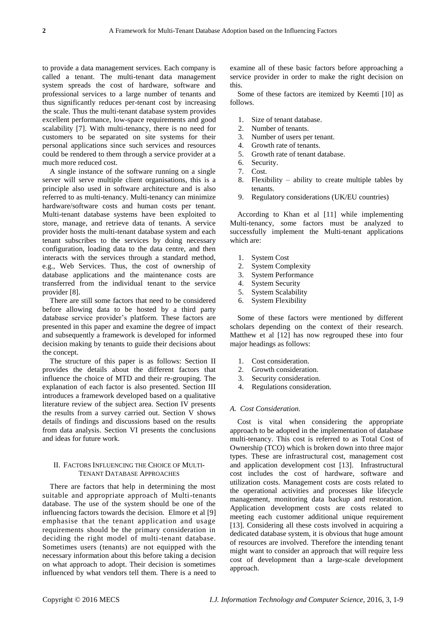to provide a data management services. Each company is called a tenant. The multi-tenant data management system spreads the cost of hardware, software and professional services to a large number of tenants and thus significantly reduces per-tenant cost by increasing the scale. Thus the multi-tenant database system provides excellent performance, low-space requirements and good scalability [7]. With multi-tenancy, there is no need for customers to be separated on site systems for their personal applications since such services and resources could be rendered to them through a service provider at a much more reduced cost.

A single instance of the software running on a single server will serve multiple client organisations, this is a principle also used in software architecture and is also referred to as multi-tenancy. Multi-tenancy can minimize hardware/software costs and human costs per tenant. Multi-tenant database systems have been exploited to store, manage, and retrieve data of tenants. A service provider hosts the multi-tenant database system and each tenant subscribes to the services by doing necessary configuration, loading data to the data centre, and then interacts with the services through a standard method, e.g., Web Services. Thus, the cost of ownership of database applications and the maintenance costs are transferred from the individual tenant to the service provider [8].

There are still some factors that need to be considered before allowing data to be hosted by a third party database service provider's platform. These factors are presented in this paper and examine the degree of impact and subsequently a framework is developed for informed decision making by tenants to guide their decisions about the concept.

The structure of this paper is as follows: Section II provides the details about the different factors that influence the choice of MTD and their re-grouping. The explanation of each factor is also presented. Section III introduces a framework developed based on a qualitative literature review of the subject area. Section IV presents the results from a survey carried out. Section V shows details of findings and discussions based on the results from data analysis. Section VI presents the conclusions and ideas for future work.

# II. FACTORS INFLUENCING THE CHOICE OF MULTI-TENANT DATABASE APPROACHES

There are factors that help in determining the most suitable and appropriate approach of Multi-tenants database. The use of the system should be one of the influencing factors towards the decision. Elmore et al [9] emphasise that the tenant application and usage requirements should be the primary consideration in deciding the right model of multi-tenant database. Sometimes users (tenants) are not equipped with the necessary information about this before taking a decision on what approach to adopt. Their decision is sometimes influenced by what vendors tell them. There is a need to examine all of these basic factors before approaching a service provider in order to make the right decision on this.

Some of these factors are itemized by Keemti [10] as follows.

- 1. Size of tenant database.
- 2. Number of tenants.
- 3. Number of users per tenant.
- 4. Growth rate of tenants.
- 5. Growth rate of tenant database.
- 6. Security.
- 7. Cost.
- 8. Flexibility ability to create multiple tables by tenants.
- 9. Regulatory considerations (UK/EU countries)

According to Khan et al [11] while implementing Multi-tenancy, some factors must be analyzed to successfully implement the Multi-tenant applications which are:

- 1. System Cost
- 2. System Complexity
- 3. System Performance
- 4. System Security
- 5. System Scalability
- 6. System Flexibility

Some of these factors were mentioned by different scholars depending on the context of their research. Matthew et al [12] has now regrouped these into four major headings as follows:

- 1. Cost consideration.
- 2. Growth consideration.
- 3. Security consideration.
- 4. Regulations consideration.

# *A. Cost Consideration.*

Cost is vital when considering the appropriate approach to be adopted in the implementation of database multi-tenancy. This cost is referred to as Total Cost of Ownership (TCO) which is broken down into three major types. These are infrastructural cost, management cost and application development cost [13]. Infrastructural cost includes the cost of hardware, software and utilization costs. Management costs are costs related to the operational activities and processes like lifecycle management, monitoring data backup and restoration. Application development costs are costs related to meeting each customer additional unique requirement [13]. Considering all these costs involved in acquiring a dedicated database system, it is obvious that huge amount of resources are involved. Therefore the intending tenant might want to consider an approach that will require less cost of development than a large-scale development approach.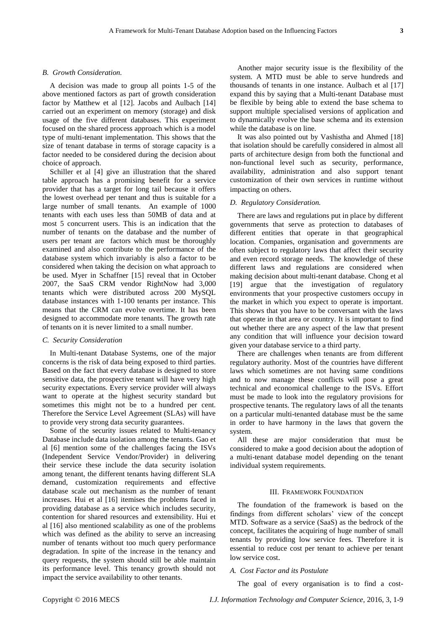#### *B. Growth Consideration.*

A decision was made to group all points 1-5 of the above mentioned factors as part of growth consideration factor by Matthew et al [12]. Jacobs and Aulbach [14] carried out an experiment on memory (storage) and disk usage of the five different databases. This experiment focused on the shared process approach which is a model type of multi-tenant implementation. This shows that the size of tenant database in terms of storage capacity is a factor needed to be considered during the decision about choice of approach.

Schiller et al [4] give an illustration that the shared table approach has a promising benefit for a service provider that has a target for long tail because it offers the lowest overhead per tenant and thus is suitable for a large number of small tenants. An example of 1000 tenants with each uses less than 50MB of data and at most 5 concurrent users. This is an indication that the number of tenants on the database and the number of users per tenant are factors which must be thoroughly examined and also contribute to the performance of the database system which invariably is also a factor to be considered when taking the decision on what approach to be used. Myer in Schaffner [15] reveal that in October 2007, the SaaS CRM vendor RightNow had 3,000 tenants which were distributed across 200 MySQL database instances with 1-100 tenants per instance. This means that the CRM can evolve overtime. It has been designed to accommodate more tenants. The growth rate of tenants on it is never limited to a small number.

## *C. Security Consideration*

In Multi-tenant Database Systems, one of the major concerns is the risk of data being exposed to third parties. Based on the fact that every database is designed to store sensitive data, the prospective tenant will have very high security expectations. Every service provider will always want to operate at the highest security standard but sometimes this might not be to a hundred per cent. Therefore the Service Level Agreement (SLAs) will have to provide very strong data security guarantees.

Some of the security issues related to Multi-tenancy Database include data isolation among the tenants. Gao et al [6] mention some of the challenges facing the ISVs (Independent Service Vendor/Provider) in delivering their service these include the data security isolation among tenant, the different tenants having different SLA demand, customization requirements and effective database scale out mechanism as the number of tenant increases. Hui et al [16] itemises the problems faced in providing database as a service which includes security, contention for shared resources and extensibility. Hui et al [16] also mentioned scalability as one of the problems which was defined as the ability to serve an increasing number of tenants without too much query performance degradation. In spite of the increase in the tenancy and query requests, the system should still be able maintain its performance level. This tenancy growth should not impact the service availability to other tenants.

Another major security issue is the flexibility of the system. A MTD must be able to serve hundreds and thousands of tenants in one instance. Aulbach et al [17] expand this by saying that a Multi-tenant Database must be flexible by being able to extend the base schema to support multiple specialised versions of application and to dynamically evolve the base schema and its extension while the database is on line.

It was also pointed out by Vashistha and Ahmed [18] that isolation should be carefully considered in almost all parts of architecture design from both the functional and non-functional level such as security, performance, availability, administration and also support tenant customization of their own services in runtime without impacting on others.

# *D. Regulatory Consideration.*

There are laws and regulations put in place by different governments that serve as protection to databases of different entities that operate in that geographical location. Companies, organisation and governments are often subject to regulatory laws that affect their security and even record storage needs. The knowledge of these different laws and regulations are considered when making decision about multi-tenant database. Chong et al [19] argue that the investigation of regulatory environments that your prospective customers occupy in the market in which you expect to operate is important. This shows that you have to be conversant with the laws that operate in that area or country. It is important to find out whether there are any aspect of the law that present any condition that will influence your decision toward given your database service to a third party.

There are challenges when tenants are from different regulatory authority. Most of the countries have different laws which sometimes are not having same conditions and to now manage these conflicts will pose a great technical and economical challenge to the ISVs. Effort must be made to look into the regulatory provisions for prospective tenants. The regulatory laws of all the tenants on a particular multi-tenanted database must be the same in order to have harmony in the laws that govern the system.

All these are major consideration that must be considered to make a good decision about the adoption of a multi-tenant database model depending on the tenant individual system requirements.

## III. FRAMEWORK FOUNDATION

The foundation of the framework is based on the findings from different scholars' view of the concept MTD. Software as a service (SaaS) as the bedrock of the concept, facilitates the acquiring of huge number of small tenants by providing low service fees. Therefore it is essential to reduce cost per tenant to achieve per tenant low service cost.

## *A. Cost Factor and its Postulate*

The goal of every organisation is to find a cost-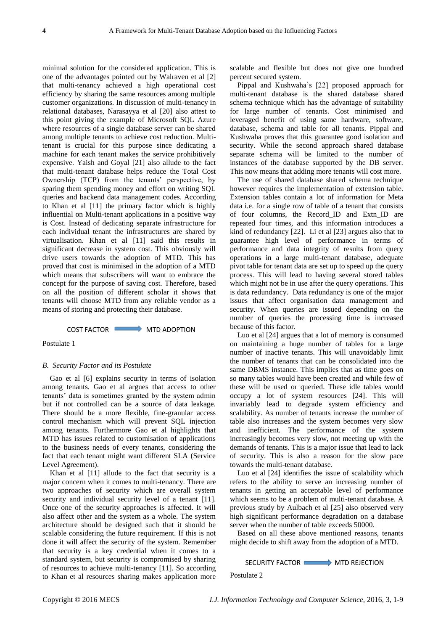minimal solution for the considered application. This is one of the advantages pointed out by Walraven et al [2] that multi-tenancy achieved a high operational cost efficiency by sharing the same resources among multiple customer organizations. In discussion of multi-tenancy in relational databases, Narasayya et al [20] also attest to this point giving the example of Microsoft SQL Azure where resources of a single database server can be shared among multiple tenants to achieve cost reduction. Multitenant is crucial for this purpose since dedicating a machine for each tenant makes the service prohibitively expensive. Yaish and Goyal [21] also allude to the fact that multi-tenant database helps reduce the Total Cost Ownership (TCP) from the tenants' perspective, by sparing them spending money and effort on writing SQL queries and backend data management codes. According to Khan et al [11] the primary factor which is highly influential on Multi-tenant applications in a positive way is Cost. Instead of dedicating separate infrastructure for each individual tenant the infrastructures are shared by virtualisation. Khan et al [11] said this results in significant decrease in system cost. This obviously will drive users towards the adoption of MTD. This has proved that cost is minimised in the adoption of a MTD which means that subscribers will want to embrace the concept for the purpose of saving cost. Therefore, based on all the position of different scholar it shows that tenants will choose MTD from any reliable vendor as a means of storing and protecting their database.

#### COST FACTOR WITH ADOPTION

Postulate 1

## *B. Security Factor and its Postulate*

Gao et al [6] explains security in terms of isolation among tenants. Gao et al argues that access to other tenants' data is sometimes granted by the system admin but if not controlled can be a source of data leakage. There should be a more flexible, fine-granular access control mechanism which will prevent SQL injection among tenants. Furthermore Gao et al highlights that MTD has issues related to customisation of applications to the business needs of every tenants, considering the fact that each tenant might want different SLA (Service Level Agreement).

Khan et al [11] allude to the fact that security is a major concern when it comes to multi-tenancy. There are two approaches of security which are overall system security and individual security level of a tenant [11]. Once one of the security approaches is affected. It will also affect other and the system as a whole. The system architecture should be designed such that it should be scalable considering the future requirement. If this is not done it will affect the security of the system. Remember that security is a key credential when it comes to a standard system, but security is compromised by sharing of resources to achieve multi-tenancy [11]. So according to Khan et al resources sharing makes application more

scalable and flexible but does not give one hundred percent secured system.

Pippal and Kushwaha's [22] proposed approach for multi-tenant database is the shared database shared schema technique which has the advantage of suitability for large number of tenants. Cost minimised and leveraged benefit of using same hardware, software, database, schema and table for all tenants. Pippal and Kushwaha proves that this guarantee good isolation and security. While the second approach shared database separate schema will be limited to the number of instances of the database supported by the DB server. This now means that adding more tenants will cost more.

The use of shared database shared schema technique however requires the implementation of extension table. Extension tables contain a lot of information for Meta data i.e. for a single row of table of a tenant that consists of four columns, the Record\_ID and Extn\_ID are repeated four times, and this information introduces a kind of redundancy [22]. Li et al [23] argues also that to guarantee high level of performance in terms of performance and data integrity of results from query operations in a large multi-tenant database, adequate pivot table for tenant data are set up to speed up the query process. This will lead to having several stored tables which might not be in use after the query operations. This is data redundancy. Data redundancy is one of the major issues that affect organisation data management and security. When queries are issued depending on the number of queries the processing time is increased because of this factor.

Luo et al [24] argues that a lot of memory is consumed on maintaining a huge number of tables for a large number of inactive tenants. This will unavoidably limit the number of tenants that can be consolidated into the same DBMS instance. This implies that as time goes on so many tables would have been created and while few of these will be used or queried. These idle tables would occupy a lot of system resources [24]. This will invariably lead to degrade system efficiency and scalability. As number of tenants increase the number of table also increases and the system becomes very slow and inefficient. The performance of the system increasingly becomes very slow, not meeting up with the demands of tenants. This is a major issue that lead to lack of security. This is also a reason for the slow pace towards the multi-tenant database.

Luo et al [24] identifies the issue of scalability which refers to the ability to serve an increasing number of tenants in getting an acceptable level of performance which seems to be a problem of multi-tenant database. A previous study by Aulbach et al [25] also observed very high significant performance degradation on a database server when the number of table exceeds 50000.

Based on all these above mentioned reasons, tenants might decide to shift away from the adoption of a MTD.

# SECURITY FACTOR **MTD REJECTION**

Postulate 2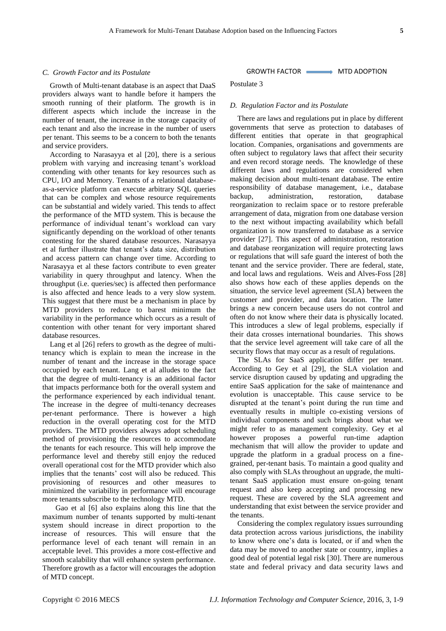### *C. Growth Factor and its Postulate*

Growth of Multi-tenant database is an aspect that DaaS providers always want to handle before it hampers the smooth running of their platform. The growth is in different aspects which include the increase in the number of tenant, the increase in the storage capacity of each tenant and also the increase in the number of users per tenant. This seems to be a concern to both the tenants and service providers.

According to Narasayya et al [20], there is a serious problem with varying and increasing tenant's workload contending with other tenants for key resources such as CPU, I/O and Memory. Tenants of a relational databaseas-a-service platform can execute arbitrary SQL queries that can be complex and whose resource requirements can be substantial and widely varied. This tends to affect the performance of the MTD system. This is because the performance of individual tenant's workload can vary significantly depending on the workload of other tenants contesting for the shared database resources. Narasayya et al further illustrate that tenant's data size, distribution and access pattern can change over time. According to Narasayya et al these factors contribute to even greater variability in query throughput and latency. When the throughput (i.e. queries/sec) is affected then performance is also affected and hence leads to a very slow system. This suggest that there must be a mechanism in place by MTD providers to reduce to barest minimum the variability in the performance which occurs as a result of contention with other tenant for very important shared database resources.

Lang et al [26] refers to growth as the degree of multitenancy which is explain to mean the increase in the number of tenant and the increase in the storage space occupied by each tenant. Lang et al alludes to the fact that the degree of multi-tenancy is an additional factor that impacts performance both for the overall system and the performance experienced by each individual tenant. The increase in the degree of multi-tenancy decreases per-tenant performance. There is however a high reduction in the overall operating cost for the MTD providers. The MTD providers always adopt scheduling method of provisioning the resources to accommodate the tenants for each resource. This will help improve the performance level and thereby still enjoy the reduced overall operational cost for the MTD provider which also implies that the tenants' cost will also be reduced. This provisioning of resources and other measures to minimized the variability in performance will encourage more tenants subscribe to the technology MTD.

 Gao et al [6] also explains along this line that the maximum number of tenants supported by multi-tenant system should increase in direct proportion to the increase of resources. This will ensure that the performance level of each tenant will remain in an acceptable level. This provides a more cost-effective and smooth scalability that will enhance system performance. Therefore growth as a factor will encourages the adoption of MTD concept.

# GROWTH FACTOR MTD ADOPTION

Postulate 3

## *D. Regulation Factor and its Postulate*

There are laws and regulations put in place by different governments that serve as protection to databases of different entities that operate in that geographical location. Companies, organisations and governments are often subject to regulatory laws that affect their security and even record storage needs. The knowledge of these different laws and regulations are considered when making decision about multi-tenant database. The entire responsibility of database management, i.e., database backup, administration, restoration, database reorganization to reclaim space or to restore preferable arrangement of data, migration from one database version to the next without impacting availability which befall organization is now transferred to database as a service provider [27]. This aspect of administration, restoration and database reorganization will require protecting laws or regulations that will safe guard the interest of both the tenant and the service provider. There are federal, state, and local laws and regulations. Weis and Alves-Foss [28] also shows how each of these applies depends on the situation, the service level agreement (SLA) between the customer and provider, and data location. The latter brings a new concern because users do not control and often do not know where their data is physically located. This introduces a slew of legal problems, especially if their data crosses international boundaries. This shows that the service level agreement will take care of all the security flows that may occur as a result of regulations.

The SLAs for SaaS application differ per tenant. According to Gey et al [29], the SLA violation and service disruption caused by updating and upgrading the entire SaaS application for the sake of maintenance and evolution is unacceptable. This cause service to be disrupted at the tenant's point during the run time and eventually results in multiple co-existing versions of individual components and such brings about what we might refer to as management complexity. Gey et al however proposes a powerful run-time adaption mechanism that will allow the provider to update and upgrade the platform in a gradual process on a finegrained, per-tenant basis. To maintain a good quality and also comply with SLAs throughout an upgrade, the multitenant SaaS application must ensure on-going tenant request and also keep accepting and processing new request. These are covered by the SLA agreement and understanding that exist between the service provider and the tenants.

Considering the complex regulatory issues surrounding data protection across various jurisdictions, the inability to know where one's data is located, or if and when the data may be moved to another state or country, implies a good deal of potential legal risk [30]. There are numerous state and federal privacy and data security laws and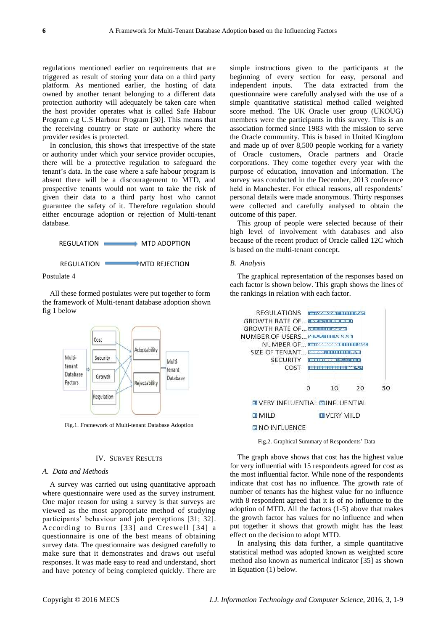regulations mentioned earlier on requirements that are triggered as result of storing your data on a third party platform. As mentioned earlier, the hosting of data owned by another tenant belonging to a different data protection authority will adequately be taken care when the host provider operates what is called Safe Habour Program e.g U.S Harbour Program [30]. This means that the receiving country or state or authority where the provider resides is protected.

In conclusion, this shows that irrespective of the state or authority under which your service provider occupies, there will be a protective regulation to safeguard the tenant's data. In the case where a safe habour program is absent there will be a discouragement to MTD, and prospective tenants would not want to take the risk of given their data to a third party host who cannot guarantee the safety of it. Therefore regulation should either encourage adoption or rejection of Multi-tenant database.



All these formed postulates were put together to form the framework of Multi-tenant database adoption shown fig 1 below



Fig.1. Framework of Multi-tenant Database Adoption

# IV. SURVEY RESULTS

# *A. Data and Methods*

A survey was carried out using quantitative approach where questionnaire were used as the survey instrument. One major reason for using a survey is that surveys are viewed as the most appropriate method of studying participants' behaviour and job perceptions [31; 32]. According to Burns [33] and Creswell [34] a questionnaire is one of the best means of obtaining survey data. The questionnaire was designed carefully to make sure that it demonstrates and draws out useful responses. It was made easy to read and understand, short and have potency of being completed quickly. There are

simple instructions given to the participants at the beginning of every section for easy, personal and independent inputs. The data extracted from the questionnaire were carefully analysed with the use of a simple quantitative statistical method called weighted score method. The UK Oracle user group (UKOUG) members were the participants in this survey. This is an association formed since 1983 with the mission to serve the Oracle community. This is based in United Kingdom and made up of over 8,500 people working for a variety of Oracle customers, Oracle partners and Oracle corporations. They come together every year with the purpose of education, innovation and information. The survey was conducted in the December, 2013 conference held in Manchester. For ethical reasons, all respondents' personal details were made anonymous. Thirty responses were collected and carefully analysed to obtain the outcome of this paper.

This group of people were selected because of their high level of involvement with databases and also because of the recent product of Oracle called 12C which is based on the multi-tenant concept.

#### *B. Analysis*

The graphical representation of the responses based on each factor is shown below. This graph shows the lines of the rankings in relation with each factor.



Fig.2. Graphical Summary of Respondents' Data

The graph above shows that cost has the highest value for very influential with 15 respondents agreed for cost as the most influential factor. While none of the respondents indicate that cost has no influence. The growth rate of number of tenants has the highest value for no influence with 8 respondent agreed that it is of no influence to the adoption of MTD. All the factors (1-5) above that makes the growth factor has values for no influence and when put together it shows that growth might has the least effect on the decision to adopt MTD.

In analysing this data further, a simple quantitative statistical method was adopted known as weighted score method also known as numerical indicator [35] as shown in Equation (1) below.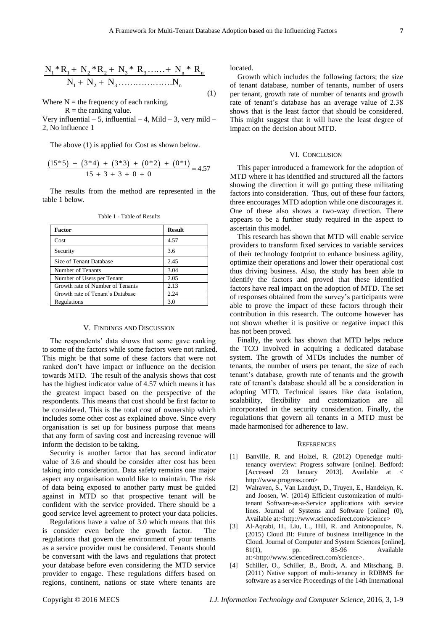$$
\frac{N_1 * R_1 + N_2 * R_2 + N_3 * R_3 + \dots + N_n * R_n}{N_1 + N_2 + N_3 + \dots + N_n}
$$
\n(1)

Where  $N =$  the frequency of each ranking.

 $R =$  the ranking value.

Very influential – 5, influential – 4, Mild – 3, very mild – 2, No influence 1

The above (1) is applied for Cost as shown below.  
\n
$$
\frac{(15*5) + (3*4) + (3*3) + (0*2) + (0*1)}{15 + 3 + 3 + 0 + 0} = 4.57
$$

The results from the method are represented in the table 1 below.

| Factor                           | <b>Result</b> |
|----------------------------------|---------------|
| Cost                             | 4.57          |
| Security                         | 3.6           |
| Size of Tenant Database          | 2.45          |
| Number of Tenants                | 3.04          |
| Number of Users per Tenant       | 2.05          |
| Growth rate of Number of Tenants | 2.13          |
| Growth rate of Tenant's Database | 2.24          |
| Regulations                      | 3.0           |

Table 1 - Table of Results

#### V. FINDINGS AND DISCUSSION

The respondents' data shows that some gave ranking to some of the factors while some factors were not ranked. This might be that some of these factors that were not ranked don't have impact or influence on the decision towards MTD. The result of the analysis shows that cost has the highest indicator value of 4.57 which means it has the greatest impact based on the perspective of the respondents. This means that cost should be first factor to be considered. This is the total cost of ownership which includes some other cost as explained above. Since every organisation is set up for business purpose that means that any form of saving cost and increasing revenue will inform the decision to be taking.

Security is another factor that has second indicator value of 3.6 and should be consider after cost has been taking into consideration. Data safety remains one major aspect any organisation would like to maintain. The risk of data being exposed to another party must be guided against in MTD so that prospective tenant will be confident with the service provided. There should be a good service level agreement to protect your data policies.

Regulations have a value of 3.0 which means that this is consider even before the growth factor. The regulations that govern the environment of your tenants as a service provider must be considered. Tenants should be conversant with the laws and regulations that protect your database before even considering the MTD service provider to engage. These regulations differs based on regions, continent, nations or state where tenants are

located.

Growth which includes the following factors; the size of tenant database, number of tenants, number of users per tenant, growth rate of number of tenants and growth rate of tenant's database has an average value of 2.38 shows that is the least factor that should be considered. This might suggest that it will have the least degree of impact on the decision about MTD.

## VI. CONCLUSION

This paper introduced a framework for the adoption of MTD where it has identified and structured all the factors showing the direction it will go putting these militating factors into consideration. Thus, out of these four factors, three encourages MTD adoption while one discourages it. One of these also shows a two-way direction. There appears to be a further study required in the aspect to ascertain this model.

This research has shown that MTD will enable service providers to transform fixed services to variable services of their technology footprint to enhance business agility, optimize their operations and lower their operational cost thus driving business. Also, the study has been able to identify the factors and proved that these identified factors have real impact on the adoption of MTD. The set of responses obtained from the survey's participants were able to prove the impact of these factors through their contribution in this research. The outcome however has not shown whether it is positive or negative impact this has not been proved.

Finally, the work has shown that MTD helps reduce the TCO involved in acquiring a dedicated database system. The growth of MTDs includes the number of tenants, the number of users per tenant, the size of each tenant's database, growth rate of tenants and the growth rate of tenant's database should all be a consideration in adopting MTD. Technical issues like data isolation, scalability, flexibility and customization are all incorporated in the security consideration. Finally, the regulations that govern all tenants in a MTD must be made harmonised for adherence to law.

## **REFERENCES**

- [1] Banville, R. and Holzel, R. (2012) Openedge multitenancy overview: Progress software [online]. Bedford: [Accessed 23 January 2013]. Available at < http://www.progress.com>
- [2] Walraven, S., Van Landuyt, D., Truyen, E., Handekyn, K. and Joosen, W. (2014) Efficient customization of multitenant Software-as-a-Service applications with service lines. Journal of Systems and Software [online] (0), Available at:<http://www.sciencedirect.com/science>
- [3] Al-Aqrabi, H., Liu, L., Hill, R. and Antonopoulos, N. (2015) Cloud BI: Future of business intelligence in the Cloud. Journal of Computer and System Sciences [online], 81(1), pp. 85-96 Available at:<http://www.sciencedirect.com/science>.
- [4] Schiller, O., Schiller, B., Brodt, A. and Mitschang, B. (2011) Native support of multi-tenancy in RDBMS for software as a service Proceedings of the 14th International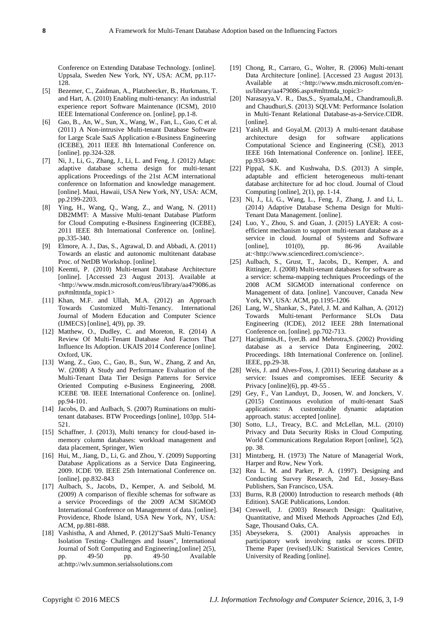Conference on Extending Database Technology. [online]. Uppsala, Sweden New York, NY, USA: ACM, pp.117- 128.

- [5] Bezemer, C., Zaidman, A., Platzbeecker, B., Hurkmans, T. and Hart, A. (2010) Enabling multi-tenancy: An industrial experience report Software Maintenance (ICSM), 2010 IEEE International Conference on. [online]. pp.1-8.
- [6] Gao, B., An, W., Sun, X., Wang, W., Fan, L., Guo, C et al. (2011) A Non-intrusive Multi-tenant Database Software for Large Scale SaaS Application e-Business Engineering (ICEBE), 2011 IEEE 8th International Conference on. [online]. pp.324-328.
- [7] Ni, J., Li, G., Zhang, J., Li, L. and Feng, J. (2012) Adapt: adaptive database schema design for multi-tenant applications Proceedings of the 21st ACM international conference on Information and knowledge management. [online]. Maui, Hawaii, USA New York, NY, USA: ACM, pp.2199-2203.
- [8] Ying, H., Wang, Q., Wang, Z., and Wang, N. (2011) DB2MMT: A Massive Multi-tenant Database Platform for Cloud Computing e-Business Engineering (ICEBE), 2011 IEEE 8th International Conference on. [online]. pp.335-340.
- [9] Elmore, A. J., Das, S., Agrawal, D. and Abbadi, A. (2011) Towards an elastic and autonomic multitenant database Proc. of NetDB Workshop. [online].
- [10] Keemti, P. (2010) Multi-tenant Database Architecture [online]. [Accessed 23 August 2013]. Available at <http://www.msdn.microsoft.com/eus/library/aa479086.as px#mlttntda\_topic1>
- [11] Khan, M.F. and Ullah, M.A. (2012) an Approach Towards Customized Multi-Tenancy. International Journal of Modern Education and Computer Science (IJMECS) [online], 4(9), pp. 39.
- [12] Matthew, O., Dudley, C. and Moreton, R. (2014) A Review Of Multi-Tenant Database And Factors That Influence Its Adoption. UKAIS 2014 Conference [online]. Oxford, UK.
- [13] Wang, Z., Guo, C., Gao, B., Sun, W., Zhang, Z and An, W. (2008) A Study and Performance Evaluation of the Multi-Tenant Data Tier Design Patterns for Service Oriented Computing e-Business Engineering, 2008. ICEBE '08. IEEE International Conference on. [online]. pp.94-101.
- [14] Jacobs, D. and Aulbach, S. (2007) Ruminations on multitenant databases. BTW Proceedings [online], 103pp. 514- 521.
- [15] Schaffner, J. (2013), Multi tenancy for cloud-based inmemory column databases: workload management and data placement, Springer, Wien
- [16] Hui, M., Jiang, D., Li, G. and Zhou, Y. (2009) Supporting Database Applications as a Service Data Engineering, 2009. ICDE '09. IEEE 25th International Conference on. [online]. pp.832-843
- [17] Aulbach, S., Jacobs, D., Kemper, A. and Seibold, M. (2009) A comparison of flexible schemas for software as a service Proceedings of the 2009 ACM SIGMOD International Conference on Management of data. [online]. Providence, Rhode Island, USA New York, NY, USA: ACM, pp.881-888.
- [18] Vashistha, A and Ahmed, P. (2012)"SaaS Multi-Tenancy Isolation Testing- Challenges and Issues", International Journal of Soft Computing and Engineering,[online] 2(5), pp. 49-50 pp. 49-50 Available at:http://wlv.summon.serialssolutions.com
- [19] Chong, R., Carraro, G., Wolter, R. (2006) Multi-tenant Data Architecture [online]. [Accessed 23 August 2013]. Available at :<http://www.msdn.microsoft.com/enus/library/aa479086.aspx#mlttntda\_topic3>
- [20] Narasayya,V. R., Das,S., Syamala,M., Chandramouli,B. and Chaudhuri,S. (2013) SQLVM: Performance Isolation in Multi-Tenant Relational Database-as-a-Service.CIDR. [online].
- [21] Yaish, H. and Goyal, M. (2013) A multi-tenant database architecture design for software applications Computational Science and Engineering (CSE), 2013 IEEE 16th International Conference on. [online]. IEEE, pp.933-940.
- [22] Pippal, S.K. and Kushwaha, D.S. (2013) A simple, adaptable and efficient heterogeneous multi-tenant database architecture for ad hoc cloud. Journal of Cloud Computing [online], 2(1), pp. 1-14.
- [23] Ni, J., Li, G., Wang, L., Feng, J., Zhang, J. and Li, L. (2014) Adaptive Database Schema Design for Multi-Tenant Data Management. [online].
- [24] Luo, Y., Zhou, S. and Guan, J. (2015) LAYER: A costefficient mechanism to support multi-tenant database as a service in cloud. Journal of Systems and Software [online], 101(0), pp. 86-96 Available at:<http://www.sciencedirect.com/science>.
- [25] Aulbach, S., Grust, T., Jacobs, D., Kemper, A. and Rittinger, J. (2008) Multi-tenant databases for software as a service: schema-mapping techniques Proceedings of the 2008 ACM SIGMOD international conference on Management of data. [online]. Vancouver, Canada New York, NY, USA: ACM, pp.1195-1206
- [26] Lang, W., Shankar, S., Patel, J. M. and Kalhan, A. (2012) Towards Multi-tenant Performance SLOs Data Engineering (ICDE), 2012 IEEE 28th International Conference on. [online]. pp.702-713.
- [27] Hacigümüs,H., Iyer,B. and Mehrotra,S. (2002) Providing database as a service Data Engineering, 2002. Proceedings. 18th International Conference on. [online]. IEEE, pp.29-38.
- [28] Weis, J. and Alves-Foss, J. (2011) Securing database as a service: Issues and compromises. IEEE Security & Privacy [online](6), pp. 49-55 .
- [29] Gey, F., Van Landuyt, D., Joosen, W. and Jonckers, V. (2015) Continuous evolution of multi-tenant SaaS applications: A customizable dynamic adaptation approach. status: accepted [online].
- [30] Sotto, L.J., Treacy, B.C. and McLellan, M.L. (2010) Privacy and Data Security Risks in Cloud Computing. World Communications Regulation Report [online], 5(2), pp. 38.
- [31] Mintzberg, H. (1973) The Nature of Managerial Work, Harper and Row, New York.
- [32] Rea L. M. and Parker, P. A. (1997). Designing and Conducting Survey Research, 2nd Ed., Jossey-Bass Publishers, San Francisco, USA.
- [33] Burns, R.B (2000) Introduction to research methods (4th Edition). SAGE Publications, London.
- [34] Creswell, J. (2003) Research Design: Qualitative, Quantitative, and Mixed Methods Approaches (2nd Ed), Sage, Thousand Oaks, CA.
- [35] Abeysekera, S. (2001) Analysis approaches in participatory work involving ranks or scores. DFID Theme Paper (revised).UK: Statistical Services Centre, University of Reading [online].